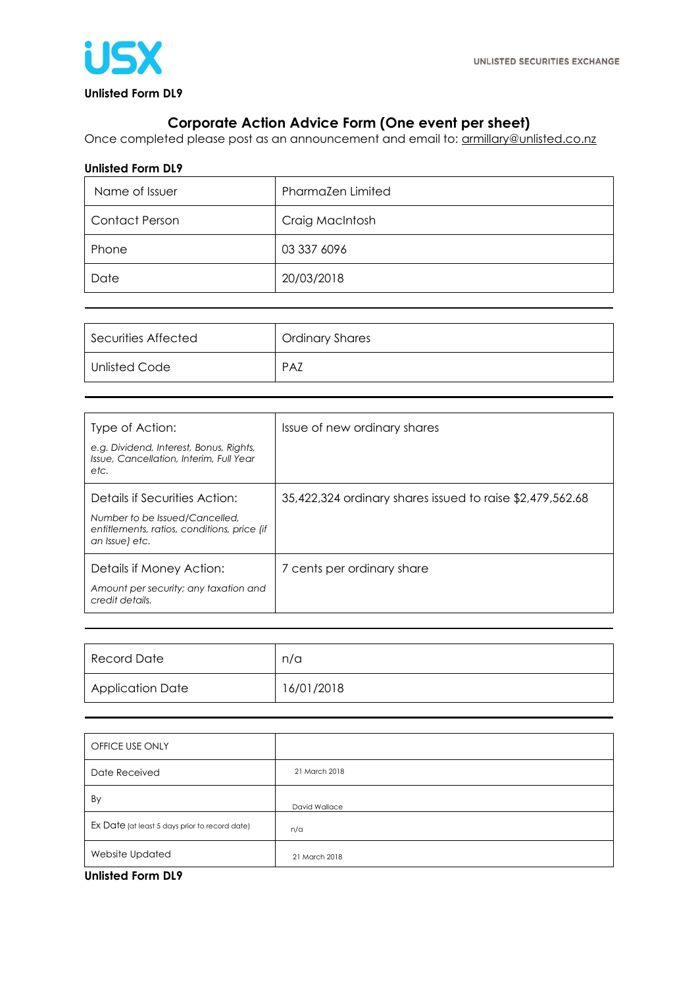

## **Corporate Action Advice Form (One event per sheet)**

Once completed please post as an announcement and email to: **armillary@unlisted.co.nz** 

## **Unlisted Form DL9**

| Name of Issuer        | Pharmazen Limited |
|-----------------------|-------------------|
| <b>Contact Person</b> | Craig MacIntosh   |
| Phone                 | 03 337 6096       |
| Date                  | 20/03/2018        |

| Securities Affected | <b>Ordinary Shares</b> |
|---------------------|------------------------|
| Unlisted Code       | <b>PAZ</b>             |

| Type of Action:<br>e.g. Dividend, Interest, Bonus, Rights,<br>Issue, Cancellation, Interim, Full Year<br>etc.                    | Issue of new ordinary shares                              |
|----------------------------------------------------------------------------------------------------------------------------------|-----------------------------------------------------------|
| Details if Securities Action:<br>Number to be Issued/Cancelled.<br>entitlements, ratios, conditions, price (if<br>an Issue) etc. | 35,422,324 ordinary shares issued to raise \$2,479,562.68 |
| Details if Money Action:<br>Amount per security; any taxation and<br>credit details.                                             | 7 cents per ordinary share                                |

| Record Date             | n/a        |
|-------------------------|------------|
| <b>Application Date</b> | 16/01/2018 |

| OFFICE USE ONLY                                |               |
|------------------------------------------------|---------------|
| Date Received                                  | 21 March 2018 |
| By                                             | David Wallace |
| Ex Date (at least 5 days prior to record date) | n/a           |
| Website Updated                                | 21 March 2018 |

**Unlisted Form DL9**